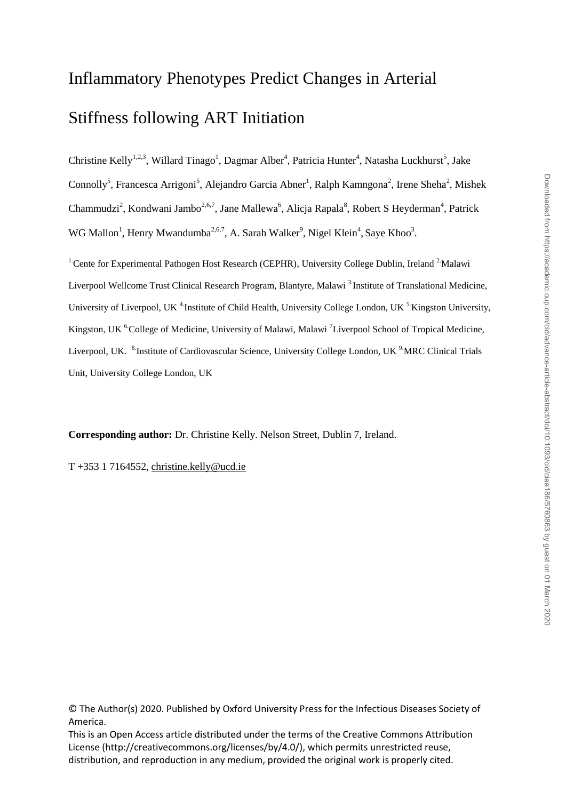# Inflammatory Phenotypes Predict Changes in Arterial Stiffness following ART Initiation

Christine Kelly<sup>1,2,3</sup>, Willard Tinago<sup>1</sup>, Dagmar Alber<sup>4</sup>, Patricia Hunter<sup>4</sup>, Natasha Luckhurst<sup>5</sup>, Jake Connolly<sup>5</sup>, Francesca Arrigoni<sup>5</sup>, Alejandro Garcia Abner<sup>1</sup>, Ralph Kamngona<sup>2</sup>, Irene Sheha<sup>2</sup>, Mishek Chammudzi<sup>2</sup>, Kondwani Jambo<sup>2,6,7</sup>, Jane Mallewa<sup>6</sup>, Alicja Rapala<sup>8</sup>, Robert S Heyderman<sup>4</sup>, Patrick WG Mallon<sup>1</sup>, Henry Mwandumba<sup>2,6,7</sup>, A. Sarah Walker<sup>9</sup>, Nigel Klein<sup>4</sup>, Saye Khoo<sup>3</sup>.

<sup>1</sup> Cente for Experimental Pathogen Host Research (CEPHR), University College Dublin, Ireland <sup>2</sup> Malawi Liverpool Wellcome Trust Clinical Research Program, Blantyre, Malawi <sup>3.</sup>Institute of Translational Medicine, University of Liverpool, UK<sup>4</sup> Institute of Child Health, University College London, UK<sup>5</sup> Kingston University, Kingston, UK<sup>6</sup> College of Medicine, University of Malawi, Malawi <sup>7</sup>Liverpool School of Tropical Medicine, Liverpool, UK. <sup>8.</sup>Institute of Cardiovascular Science, University College London, UK<sup>9.</sup>MRC Clinical Trials Unit, University College London, UK

**Corresponding author:** Dr. Christine Kelly. Nelson Street, Dublin 7, Ireland.

T +353 1 7164552, [christine.kelly@ucd.ie](mailto:christine.kelly@ucd.ie)

© The Author(s) 2020. Published by Oxford University Press for the Infectious Diseases Society of America.

This is an Open Access article distributed under the terms of the Creative Commons Attribution License (http://creativecommons.org/licenses/by/4.0/), which permits unrestricted reuse, distribution, and reproduction in any medium, provided the original work is properly cited.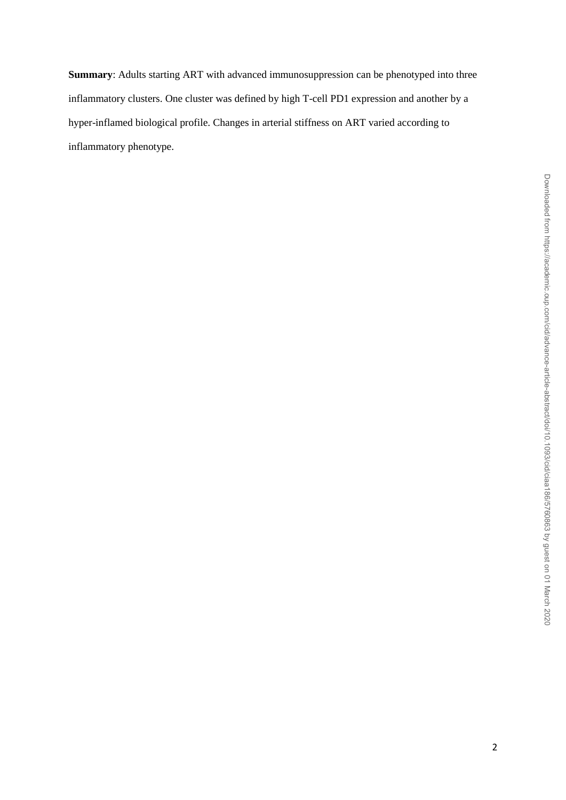**Summary:** Adults starting ART with advanced immunosuppression can be phenotyped into three inflammatory clusters. One cluster was defined by high T-cell PD1 expression and another by a hyper-inflamed biological profile. Changes in arterial stiffness on ART varied according to inflammatory phenotype.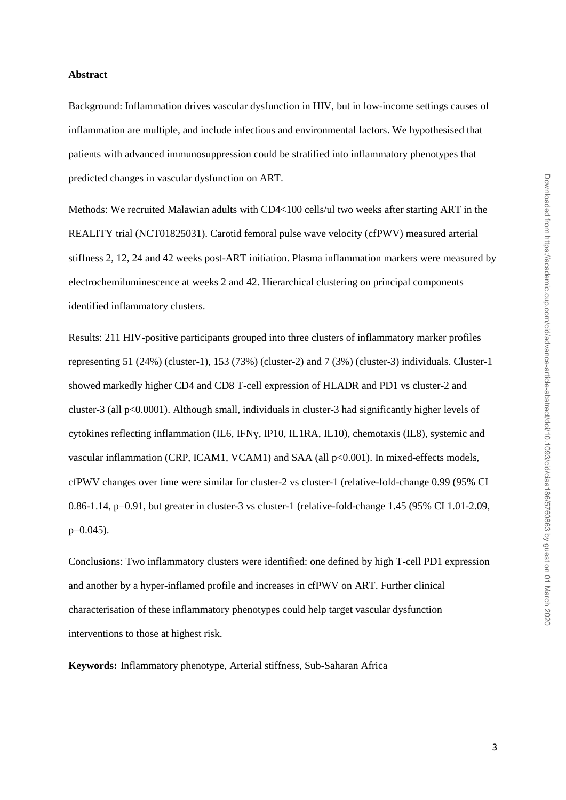#### **Abstract**

Background: Inflammation drives vascular dysfunction in HIV, but in low-income settings causes of inflammation are multiple, and include infectious and environmental factors. We hypothesised that patients with advanced immunosuppression could be stratified into inflammatory phenotypes that predicted changes in vascular dysfunction on ART.

Methods: We recruited Malawian adults with CD4<100 cells/ul two weeks after starting ART in the REALITY trial (NCT01825031). Carotid femoral pulse wave velocity (cfPWV) measured arterial stiffness 2, 12, 24 and 42 weeks post-ART initiation. Plasma inflammation markers were measured by electrochemiluminescence at weeks 2 and 42. Hierarchical clustering on principal components identified inflammatory clusters.

Results: 211 HIV-positive participants grouped into three clusters of inflammatory marker profiles representing 51 (24%) (cluster-1), 153 (73%) (cluster-2) and 7 (3%) (cluster-3) individuals. Cluster-1 showed markedly higher CD4 and CD8 T-cell expression of HLADR and PD1 vs cluster-2 and cluster-3 (all p<0.0001). Although small, individuals in cluster-3 had significantly higher levels of cytokines reflecting inflammation (IL6, IFNɣ, IP10, IL1RA, IL10), chemotaxis (IL8), systemic and vascular inflammation (CRP, ICAM1, VCAM1) and SAA (all p<0.001). In mixed-effects models, cfPWV changes over time were similar for cluster-2 vs cluster-1 (relative-fold-change 0.99 (95% CI 0.86-1.14, p=0.91, but greater in cluster-3 vs cluster-1 (relative-fold-change 1.45 (95% CI 1.01-2.09,  $p=0.045$ ).

Conclusions: Two inflammatory clusters were identified: one defined by high T-cell PD1 expression and another by a hyper-inflamed profile and increases in cfPWV on ART. Further clinical characterisation of these inflammatory phenotypes could help target vascular dysfunction interventions to those at highest risk.

**Keywords:** Inflammatory phenotype, Arterial stiffness, Sub-Saharan Africa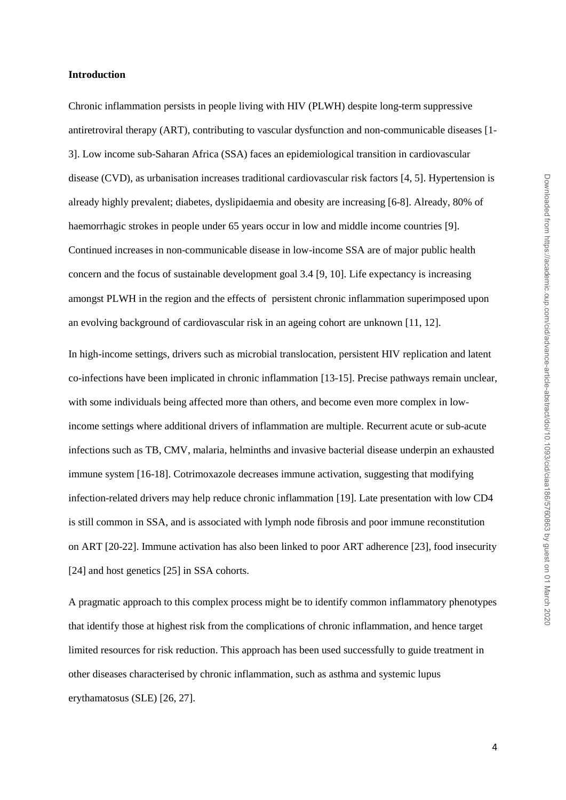Chronic inflammation persists in people living with HIV (PLWH) despite long-term suppressive antiretroviral therapy (ART), contributing to vascular dysfunction and non-communicable diseases [\[1-](#page-16-0) [3\]](#page-16-0). Low income sub-Saharan Africa (SSA) faces an epidemiological transition in cardiovascular disease (CVD), as urbanisation increases traditional cardiovascular risk factors [\[4,](#page-16-1) [5\]](#page-16-2). Hypertension is already highly prevalent; diabetes, dyslipidaemia and obesity are increasing [\[6-8\]](#page-16-3). Already, 80% of haemorrhagic strokes in people under 65 years occur in low and middle income countries [\[9\]](#page-16-4). Continued increases in non-communicable disease in low-income SSA are of major public health concern and the focus of sustainable development goal 3.4 [\[9,](#page-16-4) [10\]](#page-16-5). Life expectancy is increasing amongst PLWH in the region and the effects of persistent chronic inflammation superimposed upon an evolving background of cardiovascular risk in an ageing cohort are unknown [\[11,](#page-17-0) [12\]](#page-17-1).

In high-income settings, drivers such as microbial translocation, persistent HIV replication and latent co-infections have been implicated in chronic inflammation [\[13-15\]](#page-17-2). Precise pathways remain unclear, with some individuals being affected more than others, and become even more complex in lowincome settings where additional drivers of inflammation are multiple. Recurrent acute or sub-acute infections such as TB, CMV, malaria, helminths and invasive bacterial disease underpin an exhausted immune system [\[16-18\]](#page-17-3). Cotrimoxazole decreases immune activation, suggesting that modifying infection-related drivers may help reduce chronic inflammation [\[19\]](#page-17-4). Late presentation with low CD4 is still common in SSA, and is associated with lymph node fibrosis and poor immune reconstitution on ART [\[20-22\]](#page-17-5). Immune activation has also been linked to poor ART adherence [\[23\]](#page-18-0), food insecurity [\[24\]](#page-18-1) and host genetics [\[25\]](#page-18-2) in SSA cohorts.

A pragmatic approach to this complex process might be to identify common inflammatory phenotypes that identify those at highest risk from the complications of chronic inflammation, and hence target limited resources for risk reduction. This approach has been used successfully to guide treatment in other diseases characterised by chronic inflammation, such as asthma and systemic lupus erythamatosus (SLE) [\[26,](#page-18-3) [27\]](#page-18-4).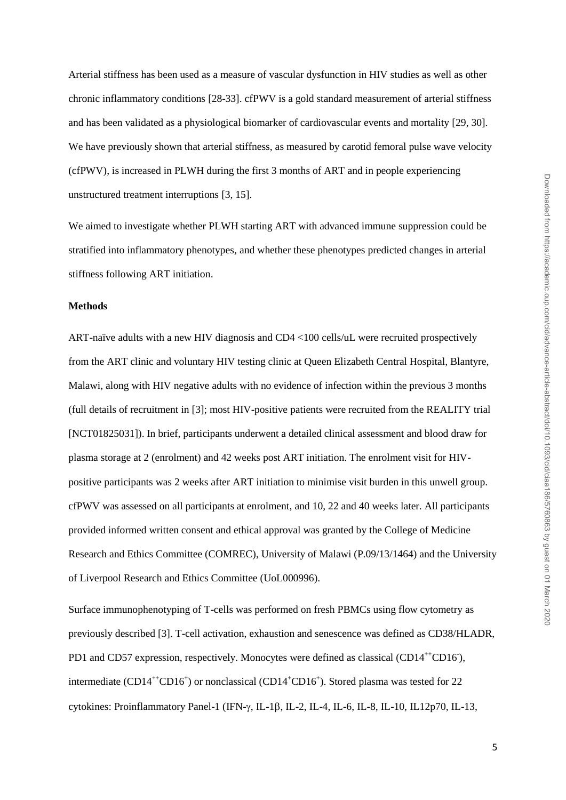Arterial stiffness has been used as a measure of vascular dysfunction in HIV studies as well as other chronic inflammatory conditions [\[28-33\]](#page-18-5). cfPWV is a gold standard measurement of arterial stiffness and has been validated as a physiological biomarker of cardiovascular events and mortality [\[29,](#page-18-6) [30\]](#page-18-7). We have previously shown that arterial stiffness, as measured by carotid femoral pulse wave velocity (cfPWV), is increased in PLWH during the first 3 months of ART and in people experiencing unstructured treatment interruptions [\[3,](#page-16-6) [15\]](#page-17-6).

We aimed to investigate whether PLWH starting ART with advanced immune suppression could be stratified into inflammatory phenotypes, and whether these phenotypes predicted changes in arterial stiffness following ART initiation.

#### **Methods**

ART-naïve adults with a new HIV diagnosis and CD4 <100 cells/uL were recruited prospectively from the ART clinic and voluntary HIV testing clinic at Queen Elizabeth Central Hospital, Blantyre, Malawi, along with HIV negative adults with no evidence of infection within the previous 3 months (full details of recruitment in [\[3\]](#page-16-6); most HIV-positive patients were recruited from the REALITY trial [NCT01825031]). In brief, participants underwent a detailed clinical assessment and blood draw for plasma storage at 2 (enrolment) and 42 weeks post ART initiation. The enrolment visit for HIVpositive participants was 2 weeks after ART initiation to minimise visit burden in this unwell group. cfPWV was assessed on all participants at enrolment, and 10, 22 and 40 weeks later. All participants provided informed written consent and ethical approval was granted by the College of Medicine Research and Ethics Committee (COMREC), University of Malawi (P.09/13/1464) and the University of Liverpool Research and Ethics Committee (UoL000996).

Surface immunophenotyping of T-cells was performed on fresh PBMCs using flow cytometry as previously described [\[3\]](#page-16-6). T-cell activation, exhaustion and senescence was defined as CD38/HLADR, PD1 and CD57 expression, respectively. Monocytes were defined as classical (CD14<sup>++</sup>CD16), intermediate (CD14<sup>++</sup>CD16<sup>+</sup>) or nonclassical (CD14<sup>+</sup>CD16<sup>+</sup>). Stored plasma was tested for 22 cytokines: Proinflammatory Panel-1 (IFN-y, IL-1B, IL-2, IL-4, IL-6, IL-8, IL-10, IL12p70, IL-13,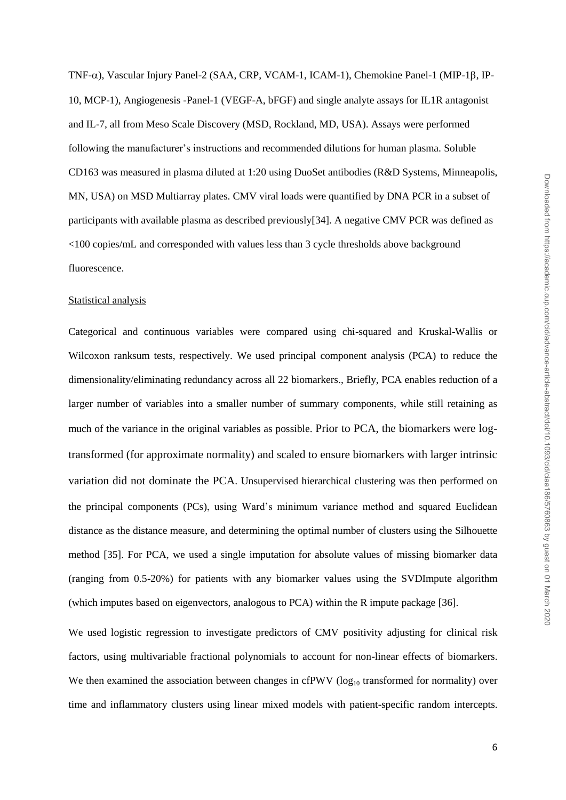TNF- $\alpha$ ), Vascular Injury Panel-2 (SAA, CRP, VCAM-1, ICAM-1), Chemokine Panel-1 (MIP-1 $\beta$ , IP-10, MCP-1), Angiogenesis -Panel-1 (VEGF-A, bFGF) and single analyte assays for IL1R antagonist and IL-7, all from Meso Scale Discovery (MSD, Rockland, MD, USA). Assays were performed following the manufacturer's instructions and recommended dilutions for human plasma. Soluble CD163 was measured in plasma diluted at 1:20 using DuoSet antibodies (R&D Systems, Minneapolis, MN, USA) on MSD Multiarray plates. CMV viral loads were quantified by DNA PCR in a subset of participants with available plasma as described previously[\[34\]](#page-19-0). A negative CMV PCR was defined as <100 copies/mL and corresponded with values less than 3 cycle thresholds above background fluorescence.

#### Statistical analysis

Categorical and continuous variables were compared using chi-squared and Kruskal-Wallis or Wilcoxon ranksum tests, respectively. We used principal component analysis (PCA) to reduce the dimensionality/eliminating redundancy across all 22 biomarkers., Briefly, PCA enables reduction of a larger number of variables into a smaller number of summary components, while still retaining as much of the variance in the original variables as possible. Prior to PCA, the biomarkers were logtransformed (for approximate normality) and scaled to ensure biomarkers with larger intrinsic variation did not dominate the PCA. Unsupervised hierarchical clustering was then performed on the principal components (PCs), using Ward's minimum variance method and squared Euclidean distance as the distance measure, and determining the optimal number of clusters using the Silhouette method [\[35\]](#page-19-1). For PCA, we used a single imputation for absolute values of missing biomarker data (ranging from 0.5-20%) for patients with any biomarker values using the SVDImpute algorithm (which imputes based on eigenvectors, analogous to PCA) within the R impute package [\[36\]](#page-19-2).

We used logistic regression to investigate predictors of CMV positivity adjusting for clinical risk factors, using multivariable fractional polynomials to account for non-linear effects of biomarkers. We then examined the association between changes in cfPWV  $(log_{10}$  transformed for normality) over time and inflammatory clusters using linear mixed models with patient-specific random intercepts.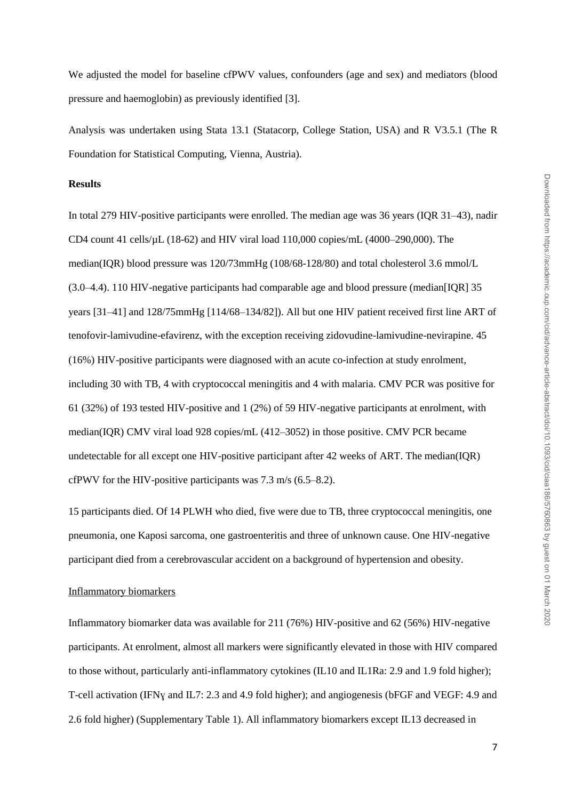We adjusted the model for baseline cfPWV values, confounders (age and sex) and mediators (blood pressure and haemoglobin) as previously identified [\[3\]](#page-16-6).

Analysis was undertaken using Stata 13.1 (Statacorp, College Station, USA) and R V3.5.1 (The R Foundation for Statistical Computing, Vienna, Austria).

#### **Results**

In total 279 HIV-positive participants were enrolled. The median age was 36 years (IQR 31–43), nadir CD4 count 41 cells/µL (18-62) and HIV viral load 110,000 copies/mL (4000–290,000). The median(IQR) blood pressure was 120/73mmHg (108/68-128/80) and total cholesterol 3.6 mmol/L (3.0–4.4). 110 HIV-negative participants had comparable age and blood pressure (median[IQR] 35 years [31–41] and 128/75mmHg [114/68–134/82]). All but one HIV patient received first line ART of tenofovir-lamivudine-efavirenz, with the exception receiving zidovudine-lamivudine-nevirapine. 45 (16%) HIV-positive participants were diagnosed with an acute co-infection at study enrolment, including 30 with TB, 4 with cryptococcal meningitis and 4 with malaria. CMV PCR was positive for 61 (32%) of 193 tested HIV-positive and 1 (2%) of 59 HIV-negative participants at enrolment, with median(IQR) CMV viral load 928 copies/mL (412–3052) in those positive. CMV PCR became undetectable for all except one HIV-positive participant after 42 weeks of ART. The median(IQR) cfPWV for the HIV-positive participants was 7.3 m/s (6.5–8.2).

15 participants died. Of 14 PLWH who died, five were due to TB, three cryptococcal meningitis, one pneumonia, one Kaposi sarcoma, one gastroenteritis and three of unknown cause. One HIV-negative participant died from a cerebrovascular accident on a background of hypertension and obesity.

#### Inflammatory biomarkers

Inflammatory biomarker data was available for 211 (76%) HIV-positive and 62 (56%) HIV-negative participants. At enrolment, almost all markers were significantly elevated in those with HIV compared to those without, particularly anti-inflammatory cytokines (IL10 and IL1Ra: 2.9 and 1.9 fold higher); T-cell activation (IFNɣ and IL7: 2.3 and 4.9 fold higher); and angiogenesis (bFGF and VEGF: 4.9 and 2.6 fold higher) (Supplementary Table 1). All inflammatory biomarkers except IL13 decreased in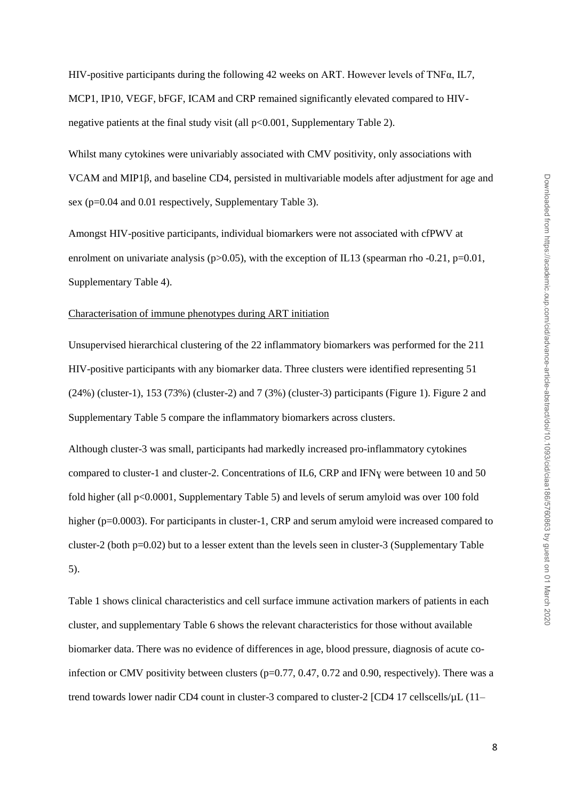HIV-positive participants during the following 42 weeks on ART. However levels of TNFα, IL7, MCP1, IP10, VEGF, bFGF, ICAM and CRP remained significantly elevated compared to HIVnegative patients at the final study visit (all p<0.001, Supplementary Table 2).

Whilst many cytokines were univariably associated with CMV positivity, only associations with VCAM and MIP1β, and baseline CD4, persisted in multivariable models after adjustment for age and sex (p=0.04 and 0.01 respectively, Supplementary Table 3).

Amongst HIV-positive participants, individual biomarkers were not associated with cfPWV at enrolment on univariate analysis ( $p > 0.05$ ), with the exception of IL13 (spearman rho  $-0.21$ ,  $p=0.01$ , Supplementary Table 4).

#### Characterisation of immune phenotypes during ART initiation

Unsupervised hierarchical clustering of the 22 inflammatory biomarkers was performed for the 211 HIV-positive participants with any biomarker data. Three clusters were identified representing 51 (24%) (cluster-1), 153 (73%) (cluster-2) and 7 (3%) (cluster-3) participants (Figure 1). Figure 2 and Supplementary Table 5 compare the inflammatory biomarkers across clusters.

Although cluster-3 was small, participants had markedly increased pro-inflammatory cytokines compared to cluster-1 and cluster-2. Concentrations of IL6, CRP and IFNɣ were between 10 and 50 fold higher (all p<0.0001, Supplementary Table 5) and levels of serum amyloid was over 100 fold higher (p=0.0003). For participants in cluster-1, CRP and serum amyloid were increased compared to cluster-2 (both p=0.02) but to a lesser extent than the levels seen in cluster-3 (Supplementary Table 5).

Table 1 shows clinical characteristics and cell surface immune activation markers of patients in each cluster, and supplementary Table 6 shows the relevant characteristics for those without available biomarker data. There was no evidence of differences in age, blood pressure, diagnosis of acute coinfection or CMV positivity between clusters (p=0.77, 0.47, 0.72 and 0.90, respectively). There was a trend towards lower nadir CD4 count in cluster-3 compared to cluster-2 [CD4 17 cellscells/µL (11–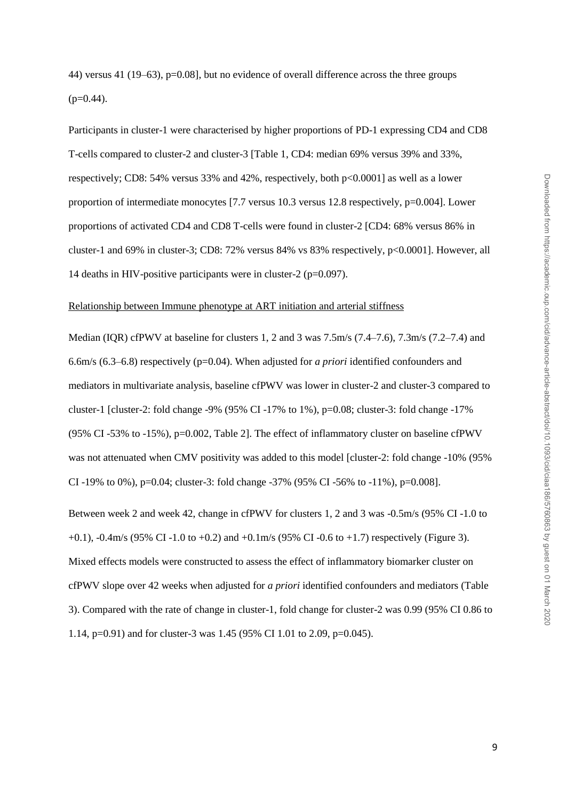44) versus 41 (19–63),  $p=0.08$ ], but no evidence of overall difference across the three groups  $(p=0.44)$ .

Participants in cluster-1 were characterised by higher proportions of PD-1 expressing CD4 and CD8 T-cells compared to cluster-2 and cluster-3 [Table 1, CD4: median 69% versus 39% and 33%, respectively; CD8: 54% versus 33% and 42%, respectively, both p<0.0001] as well as a lower proportion of intermediate monocytes [7.7 versus 10.3 versus 12.8 respectively, p=0.004]. Lower proportions of activated CD4 and CD8 T-cells were found in cluster-2 [CD4: 68% versus 86% in cluster-1 and 69% in cluster-3; CD8: 72% versus 84% vs 83% respectively, p<0.0001]. However, all 14 deaths in HIV-positive participants were in cluster-2 (p=0.097).

#### Relationship between Immune phenotype at ART initiation and arterial stiffness

Median (IQR) cfPWV at baseline for clusters 1, 2 and 3 was 7.5m/s (7.4–7.6), 7.3m/s (7.2–7.4) and 6.6m/s (6.3–6.8) respectively (p=0.04). When adjusted for *a priori* identified confounders and mediators in multivariate analysis, baseline cfPWV was lower in cluster-2 and cluster-3 compared to cluster-1 [cluster-2: fold change -9% (95% CI -17% to 1%),  $p=0.08$ ; cluster-3: fold change -17% (95% CI -53% to -15%), p=0.002, Table 2]. The effect of inflammatory cluster on baseline cfPWV was not attenuated when CMV positivity was added to this model [cluster-2: fold change -10% (95% CI -19% to 0%), p=0.04; cluster-3: fold change -37% (95% CI -56% to -11%), p=0.008].

Between week 2 and week 42, change in cfPWV for clusters 1, 2 and 3 was -0.5m/s (95% CI -1.0 to  $+0.1$ ),  $-0.4$ m/s (95% CI -1.0 to  $+0.2$ ) and  $+0.1$ m/s (95% CI -0.6 to  $+1.7$ ) respectively (Figure 3). Mixed effects models were constructed to assess the effect of inflammatory biomarker cluster on cfPWV slope over 42 weeks when adjusted for *a priori* identified confounders and mediators (Table 3). Compared with the rate of change in cluster-1, fold change for cluster-2 was 0.99 (95% CI 0.86 to 1.14, p=0.91) and for cluster-3 was 1.45 (95% CI 1.01 to 2.09, p=0.045).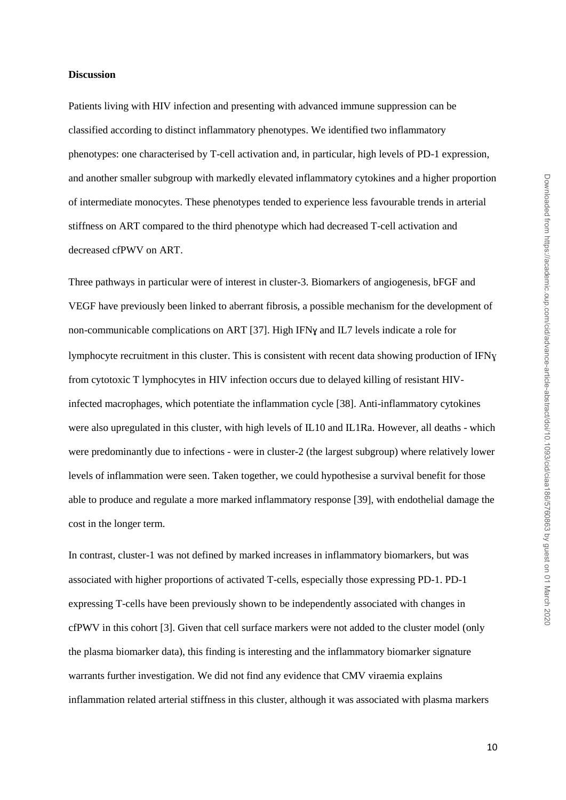# Patients living with HIV infection and presenting with advanced immune suppression can be classified according to distinct inflammatory phenotypes. We identified two inflammatory phenotypes: one characterised by T-cell activation and, in particular, high levels of PD-1 expression, and another smaller subgroup with markedly elevated inflammatory cytokines and a higher proportion of intermediate monocytes. These phenotypes tended to experience less favourable trends in arterial stiffness on ART compared to the third phenotype which had decreased T-cell activation and

Three pathways in particular were of interest in cluster-3. Biomarkers of angiogenesis, bFGF and VEGF have previously been linked to aberrant fibrosis, a possible mechanism for the development of non-communicable complications on ART [\[37\]](#page-19-3). High IFNɣ and IL7 levels indicate a role for lymphocyte recruitment in this cluster. This is consistent with recent data showing production of IFNɣ from cytotoxic T lymphocytes in HIV infection occurs due to delayed killing of resistant HIVinfected macrophages, which potentiate the inflammation cycle [\[38\]](#page-19-4). Anti-inflammatory cytokines were also upregulated in this cluster, with high levels of IL10 and IL1Ra. However, all deaths - which were predominantly due to infections - were in cluster-2 (the largest subgroup) where relatively lower levels of inflammation were seen. Taken together, we could hypothesise a survival benefit for those able to produce and regulate a more marked inflammatory response [\[39\]](#page-19-5), with endothelial damage the cost in the longer term.

**Discussion**

decreased cfPWV on ART.

In contrast, cluster-1 was not defined by marked increases in inflammatory biomarkers, but was associated with higher proportions of activated T-cells, especially those expressing PD-1. PD-1 expressing T-cells have been previously shown to be independently associated with changes in cfPWV in this cohort [\[3\]](#page-16-6). Given that cell surface markers were not added to the cluster model (only the plasma biomarker data), this finding is interesting and the inflammatory biomarker signature warrants further investigation. We did not find any evidence that CMV viraemia explains inflammation related arterial stiffness in this cluster, although it was associated with plasma markers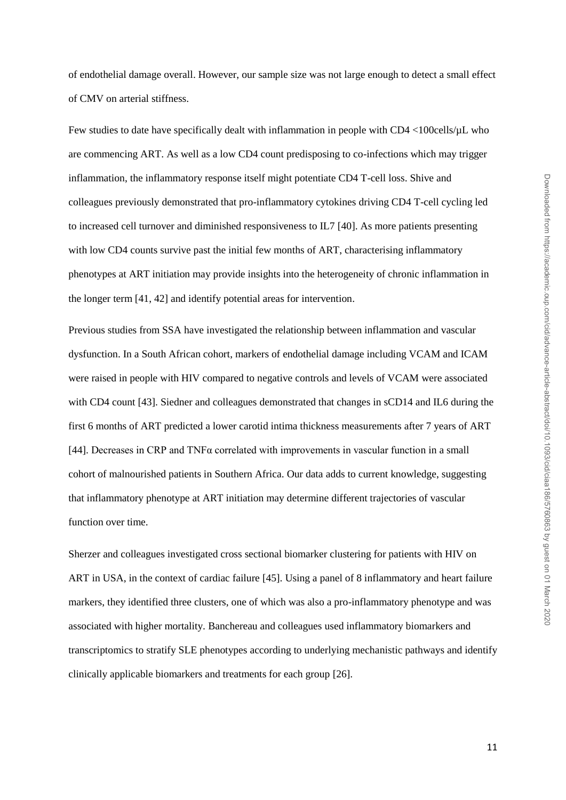of endothelial damage overall. However, our sample size was not large enough to detect a small effect of CMV on arterial stiffness.

Few studies to date have specifically dealt with inflammation in people with CD4 <100cells/µL who are commencing ART. As well as a low CD4 count predisposing to co-infections which may trigger inflammation, the inflammatory response itself might potentiate CD4 T-cell loss. Shive and colleagues previously demonstrated that pro-inflammatory cytokines driving CD4 T-cell cycling led to increased cell turnover and diminished responsiveness to IL7 [\[40\]](#page-20-0). As more patients presenting with low CD4 counts survive past the initial few months of ART, characterising inflammatory phenotypes at ART initiation may provide insights into the heterogeneity of chronic inflammation in the longer term [\[41,](#page-20-1) [42\]](#page-20-2) and identify potential areas for intervention.

Previous studies from SSA have investigated the relationship between inflammation and vascular dysfunction. In a South African cohort, markers of endothelial damage including VCAM and ICAM were raised in people with HIV compared to negative controls and levels of VCAM were associated with CD4 count [\[43\]](#page-20-3). Siedner and colleagues demonstrated that changes in sCD14 and IL6 during the first 6 months of ART predicted a lower carotid intima thickness measurements after 7 years of ART [\[44\]](#page-20-4). Decreases in CRP and  $TNF\alpha$  correlated with improvements in vascular function in a small cohort of malnourished patients in Southern Africa. Our data adds to current knowledge, suggesting that inflammatory phenotype at ART initiation may determine different trajectories of vascular function over time.

Sherzer and colleagues investigated cross sectional biomarker clustering for patients with HIV on ART in USA, in the context of cardiac failure [\[45\]](#page-20-5). Using a panel of 8 inflammatory and heart failure markers, they identified three clusters, one of which was also a pro-inflammatory phenotype and was associated with higher mortality. Banchereau and colleagues used inflammatory biomarkers and transcriptomics to stratify SLE phenotypes according to underlying mechanistic pathways and identify clinically applicable biomarkers and treatments for each group [\[26\]](#page-18-3).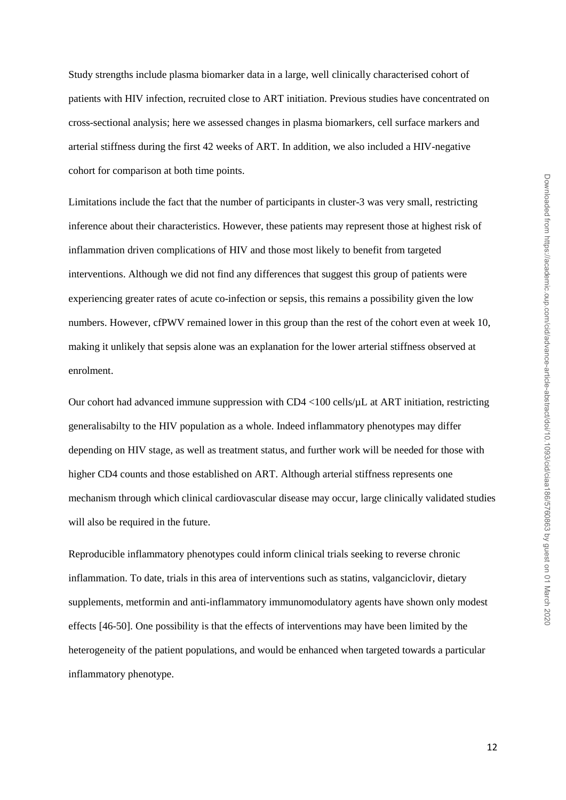Study strengths include plasma biomarker data in a large, well clinically characterised cohort of patients with HIV infection, recruited close to ART initiation. Previous studies have concentrated on cross-sectional analysis; here we assessed changes in plasma biomarkers, cell surface markers and arterial stiffness during the first 42 weeks of ART. In addition, we also included a HIV-negative cohort for comparison at both time points.

Limitations include the fact that the number of participants in cluster-3 was very small, restricting inference about their characteristics. However, these patients may represent those at highest risk of inflammation driven complications of HIV and those most likely to benefit from targeted interventions. Although we did not find any differences that suggest this group of patients were experiencing greater rates of acute co-infection or sepsis, this remains a possibility given the low numbers. However, cfPWV remained lower in this group than the rest of the cohort even at week 10, making it unlikely that sepsis alone was an explanation for the lower arterial stiffness observed at enrolment.

Our cohort had advanced immune suppression with CD4 <100 cells/µL at ART initiation, restricting generalisabilty to the HIV population as a whole. Indeed inflammatory phenotypes may differ depending on HIV stage, as well as treatment status, and further work will be needed for those with higher CD4 counts and those established on ART. Although arterial stiffness represents one mechanism through which clinical cardiovascular disease may occur, large clinically validated studies will also be required in the future.

Reproducible inflammatory phenotypes could inform clinical trials seeking to reverse chronic inflammation. To date, trials in this area of interventions such as statins, valganciclovir, dietary supplements, metformin and anti-inflammatory immunomodulatory agents have shown only modest effects [\[46-50\]](#page-20-6). One possibility is that the effects of interventions may have been limited by the heterogeneity of the patient populations, and would be enhanced when targeted towards a particular inflammatory phenotype.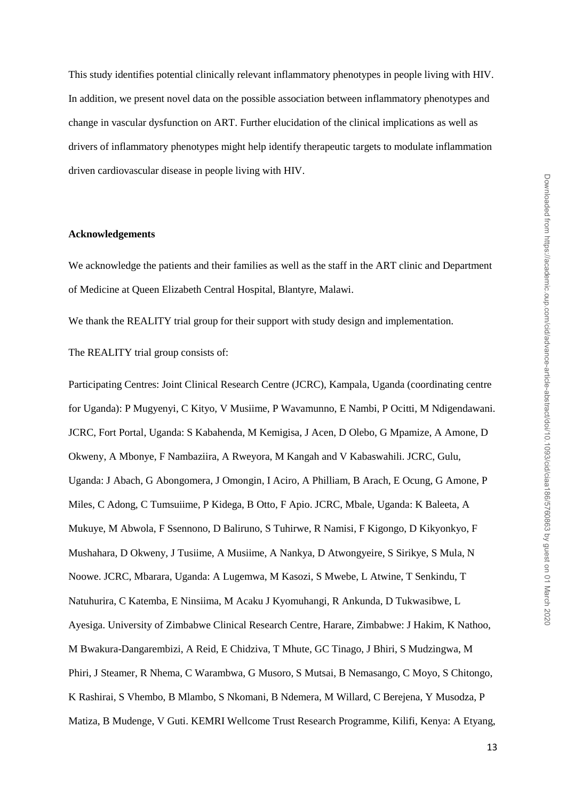This study identifies potential clinically relevant inflammatory phenotypes in people living with HIV. In addition, we present novel data on the possible association between inflammatory phenotypes and change in vascular dysfunction on ART. Further elucidation of the clinical implications as well as drivers of inflammatory phenotypes might help identify therapeutic targets to modulate inflammation driven cardiovascular disease in people living with HIV.

#### **Acknowledgements**

We acknowledge the patients and their families as well as the staff in the ART clinic and Department of Medicine at Queen Elizabeth Central Hospital, Blantyre, Malawi.

We thank the REALITY trial group for their support with study design and implementation.

The REALITY trial group consists of:

Participating Centres: Joint Clinical Research Centre (JCRC), Kampala, Uganda (coordinating centre for Uganda): P Mugyenyi, C Kityo, V Musiime, P Wavamunno, E Nambi, P Ocitti, M Ndigendawani. JCRC, Fort Portal, Uganda: S Kabahenda, M Kemigisa, J Acen, D Olebo, G Mpamize, A Amone, D Okweny, A Mbonye, F Nambaziira, A Rweyora, M Kangah and V Kabaswahili. JCRC, Gulu, Uganda: J Abach, G Abongomera, J Omongin, I Aciro, A Philliam, B Arach, E Ocung, G Amone, P Miles, C Adong, C Tumsuiime, P Kidega, B Otto, F Apio. JCRC, Mbale, Uganda: K Baleeta, A Mukuye, M Abwola, F Ssennono, D Baliruno, S Tuhirwe, R Namisi, F Kigongo, D Kikyonkyo, F Mushahara, D Okweny, J Tusiime, A Musiime, A Nankya, D Atwongyeire, S Sirikye, S Mula, N Noowe. JCRC, Mbarara, Uganda: A Lugemwa, M Kasozi, S Mwebe, L Atwine, T Senkindu, T Natuhurira, C Katemba, E Ninsiima, M Acaku J Kyomuhangi, R Ankunda, D Tukwasibwe, L Ayesiga. University of Zimbabwe Clinical Research Centre, Harare, Zimbabwe: J Hakim, K Nathoo, M Bwakura-Dangarembizi, A Reid, E Chidziva, T Mhute, GC Tinago, J Bhiri, S Mudzingwa, M Phiri, J Steamer, R Nhema, C Warambwa, G Musoro, S Mutsai, B Nemasango, C Moyo, S Chitongo, K Rashirai, S Vhembo, B Mlambo, S Nkomani, B Ndemera, M Willard, C Berejena, Y Musodza, P Matiza, B Mudenge, V Guti. KEMRI Wellcome Trust Research Programme, Kilifi, Kenya: A Etyang,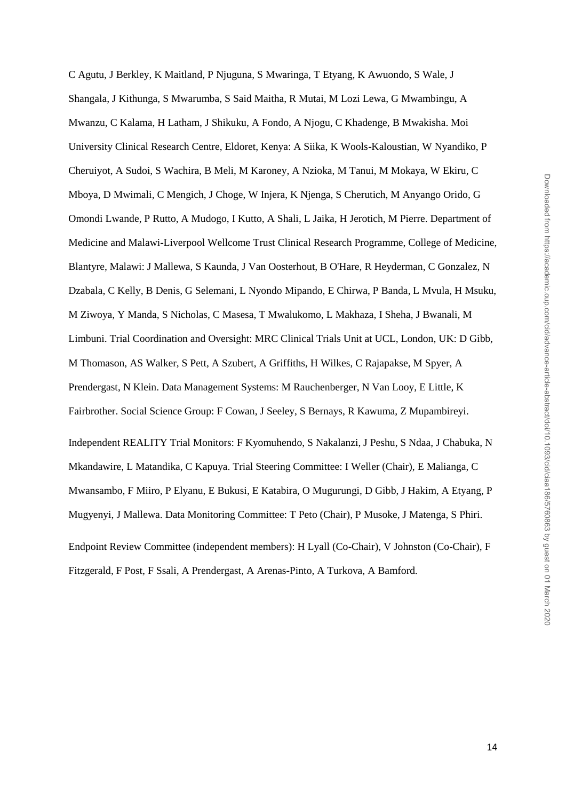C Agutu, J Berkley, K Maitland, P Njuguna, S Mwaringa, T Etyang, K Awuondo, S Wale, J Shangala, J Kithunga, S Mwarumba, S Said Maitha, R Mutai, M Lozi Lewa, G Mwambingu, A Mwanzu, C Kalama, H Latham, J Shikuku, A Fondo, A Njogu, C Khadenge, B Mwakisha. Moi University Clinical Research Centre, Eldoret, Kenya: A Siika, K Wools-Kaloustian, W Nyandiko, P Cheruiyot, A Sudoi, S Wachira, B Meli, M Karoney, A Nzioka, M Tanui, M Mokaya, W Ekiru, C Mboya, D Mwimali, C Mengich, J Choge, W Injera, K Njenga, S Cherutich, M Anyango Orido, G Omondi Lwande, P Rutto, A Mudogo, I Kutto, A Shali, L Jaika, H Jerotich, M Pierre. Department of Medicine and Malawi-Liverpool Wellcome Trust Clinical Research Programme, College of Medicine, Blantyre, Malawi: J Mallewa, S Kaunda, J Van Oosterhout, B O'Hare, R Heyderman, C Gonzalez, N Dzabala, C Kelly, B Denis, G Selemani, L Nyondo Mipando, E Chirwa, P Banda, L Mvula, H Msuku, M Ziwoya, Y Manda, S Nicholas, C Masesa, T Mwalukomo, L Makhaza, I Sheha, J Bwanali, M Limbuni. Trial Coordination and Oversight: MRC Clinical Trials Unit at UCL, London, UK: D Gibb, M Thomason, AS Walker, S Pett, A Szubert, A Griffiths, H Wilkes, C Rajapakse, M Spyer, A Prendergast, N Klein. Data Management Systems: M Rauchenberger, N Van Looy, E Little, K Fairbrother. Social Science Group: F Cowan, J Seeley, S Bernays, R Kawuma, Z Mupambireyi. Independent REALITY Trial Monitors: F Kyomuhendo, S Nakalanzi, J Peshu, S Ndaa, J Chabuka, N Mkandawire, L Matandika, C Kapuya. Trial Steering Committee: I Weller (Chair), E Malianga, C Mwansambo, F Miiro, P Elyanu, E Bukusi, E Katabira, O Mugurungi, D Gibb, J Hakim, A Etyang, P Mugyenyi, J Mallewa. Data Monitoring Committee: T Peto (Chair), P Musoke, J Matenga, S Phiri. Endpoint Review Committee (independent members): H Lyall (Co-Chair), V Johnston (Co-Chair), F

Fitzgerald, F Post, F Ssali, A Prendergast, A Arenas-Pinto, A Turkova, A Bamford.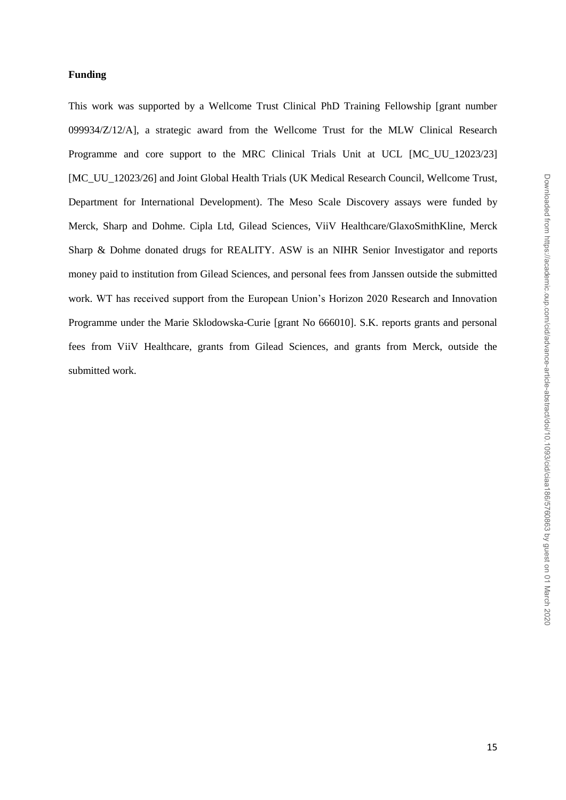#### **Funding**

This work was supported by a Wellcome Trust Clinical PhD Training Fellowship [grant number 099934/Z/12/A], a strategic award from the Wellcome Trust for the MLW Clinical Research Programme and core support to the MRC Clinical Trials Unit at UCL [MC\_UU\_12023/23] [MC\_UU\_12023/26] and Joint Global Health Trials (UK Medical Research Council, Wellcome Trust, Department for International Development). The Meso Scale Discovery assays were funded by Merck, Sharp and Dohme. Cipla Ltd, Gilead Sciences, ViiV Healthcare/GlaxoSmithKline, Merck Sharp & Dohme donated drugs for REALITY. ASW is an NIHR Senior Investigator and reports money paid to institution from Gilead Sciences, and personal fees from Janssen outside the submitted work. WT has received support from the European Union's Horizon 2020 Research and Innovation Programme under the Marie Sklodowska-Curie [grant No 666010]. S.K. reports grants and personal fees from ViiV Healthcare, grants from Gilead Sciences, and grants from Merck, outside the submitted work.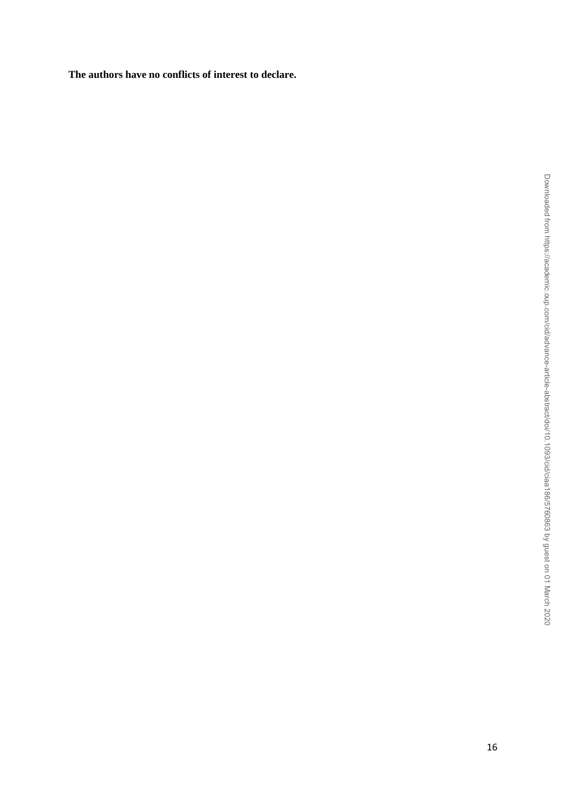**The authors have no conflicts of interest to declare.**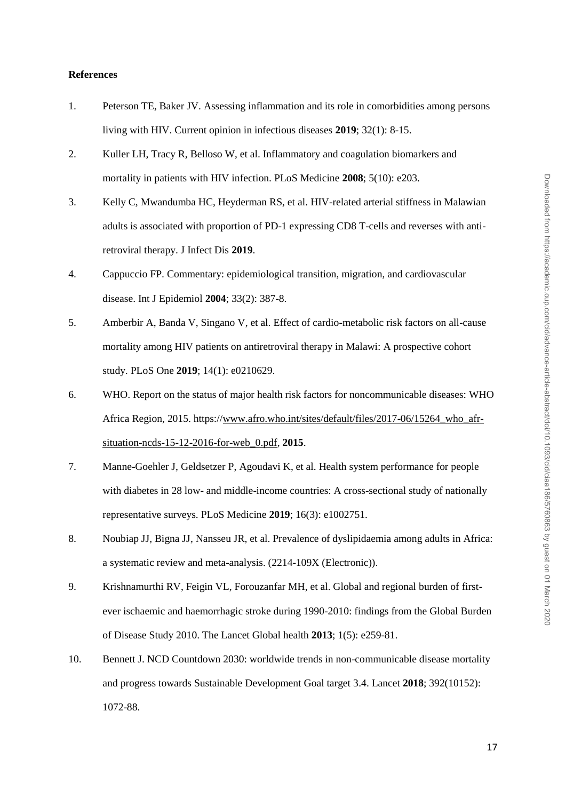#### **References**

- <span id="page-16-0"></span>1. Peterson TE, Baker JV. Assessing inflammation and its role in comorbidities among persons living with HIV. Current opinion in infectious diseases **2019**; 32(1): 8-15.
- 2. Kuller LH, Tracy R, Belloso W, et al. Inflammatory and coagulation biomarkers and mortality in patients with HIV infection. PLoS Medicine **2008**; 5(10): e203.
- <span id="page-16-6"></span>3. Kelly C, Mwandumba HC, Heyderman RS, et al. HIV-related arterial stiffness in Malawian adults is associated with proportion of PD-1 expressing CD8 T-cells and reverses with antiretroviral therapy. J Infect Dis **2019**.
- <span id="page-16-1"></span>4. Cappuccio FP. Commentary: epidemiological transition, migration, and cardiovascular disease. Int J Epidemiol **2004**; 33(2): 387-8.
- <span id="page-16-2"></span>5. Amberbir A, Banda V, Singano V, et al. Effect of cardio-metabolic risk factors on all-cause mortality among HIV patients on antiretroviral therapy in Malawi: A prospective cohort study. PLoS One **2019**; 14(1): e0210629.
- <span id="page-16-3"></span>6. WHO. Report on the status of major health risk factors for noncommunicable diseases: WHO Africa Region, 2015. https://www.afro.who.int/sites/default/files/2017-06/15264 who afr[situation-ncds-15-12-2016-for-web\\_0.pdf,](http://www.afro.who.int/sites/default/files/2017-06/15264_who_afr-situation-ncds-15-12-2016-for-web_0.pdf) **2015**.
- 7. Manne-Goehler J, Geldsetzer P, Agoudavi K, et al. Health system performance for people with diabetes in 28 low- and middle-income countries: A cross-sectional study of nationally representative surveys. PLoS Medicine **2019**; 16(3): e1002751.
- 8. Noubiap JJ, Bigna JJ, Nansseu JR, et al. Prevalence of dyslipidaemia among adults in Africa: a systematic review and meta-analysis. (2214-109X (Electronic)).
- <span id="page-16-4"></span>9. Krishnamurthi RV, Feigin VL, Forouzanfar MH, et al. Global and regional burden of firstever ischaemic and haemorrhagic stroke during 1990-2010: findings from the Global Burden of Disease Study 2010. The Lancet Global health **2013**; 1(5): e259-81.
- <span id="page-16-5"></span>10. Bennett J. NCD Countdown 2030: worldwide trends in non-communicable disease mortality and progress towards Sustainable Development Goal target 3.4. Lancet **2018**; 392(10152): 1072-88.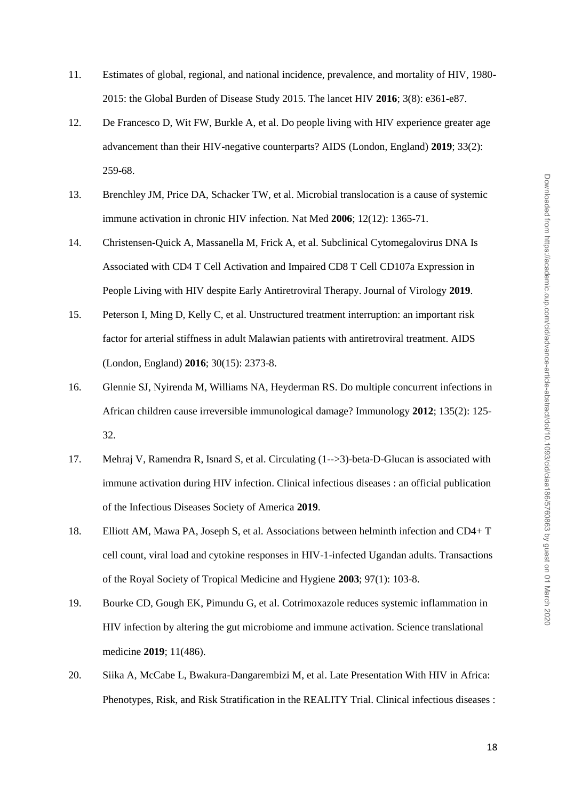- <span id="page-17-0"></span>11. Estimates of global, regional, and national incidence, prevalence, and mortality of HIV, 1980- 2015: the Global Burden of Disease Study 2015. The lancet HIV **2016**; 3(8): e361-e87.
- <span id="page-17-1"></span>12. De Francesco D, Wit FW, Burkle A, et al. Do people living with HIV experience greater age advancement than their HIV-negative counterparts? AIDS (London, England) **2019**; 33(2): 259-68.
- <span id="page-17-2"></span>13. Brenchley JM, Price DA, Schacker TW, et al. Microbial translocation is a cause of systemic immune activation in chronic HIV infection. Nat Med **2006**; 12(12): 1365-71.
- 14. Christensen-Quick A, Massanella M, Frick A, et al. Subclinical Cytomegalovirus DNA Is Associated with CD4 T Cell Activation and Impaired CD8 T Cell CD107a Expression in People Living with HIV despite Early Antiretroviral Therapy. Journal of Virology **2019**.
- <span id="page-17-6"></span>15. Peterson I, Ming D, Kelly C, et al. Unstructured treatment interruption: an important risk factor for arterial stiffness in adult Malawian patients with antiretroviral treatment. AIDS (London, England) **2016**; 30(15): 2373-8.
- <span id="page-17-3"></span>16. Glennie SJ, Nyirenda M, Williams NA, Heyderman RS. Do multiple concurrent infections in African children cause irreversible immunological damage? Immunology **2012**; 135(2): 125- 32.
- 17. Mehraj V, Ramendra R, Isnard S, et al. Circulating (1-->3)-beta-D-Glucan is associated with immune activation during HIV infection. Clinical infectious diseases : an official publication of the Infectious Diseases Society of America **2019**.
- 18. Elliott AM, Mawa PA, Joseph S, et al. Associations between helminth infection and CD4+ T cell count, viral load and cytokine responses in HIV-1-infected Ugandan adults. Transactions of the Royal Society of Tropical Medicine and Hygiene **2003**; 97(1): 103-8.
- <span id="page-17-4"></span>19. Bourke CD, Gough EK, Pimundu G, et al. Cotrimoxazole reduces systemic inflammation in HIV infection by altering the gut microbiome and immune activation. Science translational medicine **2019**; 11(486).
- <span id="page-17-5"></span>20. Siika A, McCabe L, Bwakura-Dangarembizi M, et al. Late Presentation With HIV in Africa: Phenotypes, Risk, and Risk Stratification in the REALITY Trial. Clinical infectious diseases :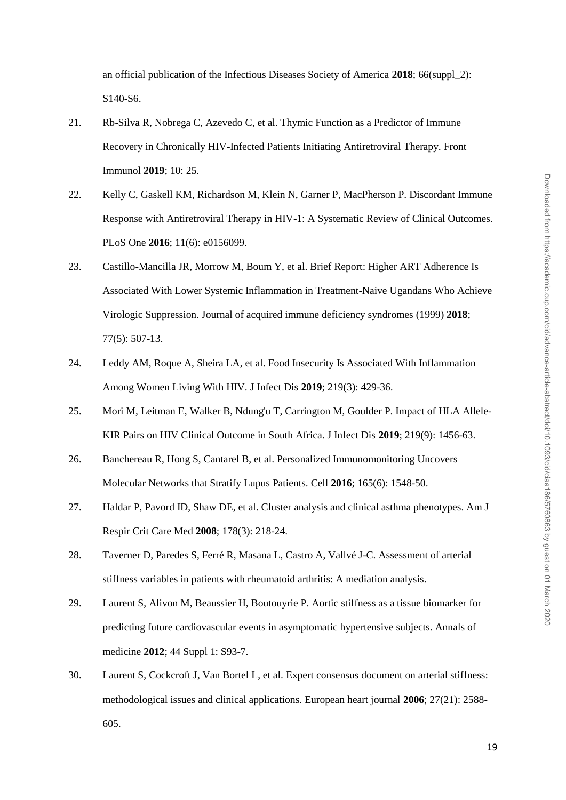an official publication of the Infectious Diseases Society of America **2018**; 66(suppl\_2): S140-S6.

- 21. Rb-Silva R, Nobrega C, Azevedo C, et al. Thymic Function as a Predictor of Immune Recovery in Chronically HIV-Infected Patients Initiating Antiretroviral Therapy. Front Immunol **2019**; 10: 25.
- 22. Kelly C, Gaskell KM, Richardson M, Klein N, Garner P, MacPherson P. Discordant Immune Response with Antiretroviral Therapy in HIV-1: A Systematic Review of Clinical Outcomes. PLoS One **2016**; 11(6): e0156099.
- <span id="page-18-0"></span>23. Castillo-Mancilla JR, Morrow M, Boum Y, et al. Brief Report: Higher ART Adherence Is Associated With Lower Systemic Inflammation in Treatment-Naive Ugandans Who Achieve Virologic Suppression. Journal of acquired immune deficiency syndromes (1999) **2018**; 77(5): 507-13.
- <span id="page-18-1"></span>24. Leddy AM, Roque A, Sheira LA, et al. Food Insecurity Is Associated With Inflammation Among Women Living With HIV. J Infect Dis **2019**; 219(3): 429-36.
- <span id="page-18-2"></span>25. Mori M, Leitman E, Walker B, Ndung'u T, Carrington M, Goulder P. Impact of HLA Allele-KIR Pairs on HIV Clinical Outcome in South Africa. J Infect Dis **2019**; 219(9): 1456-63.
- <span id="page-18-3"></span>26. Banchereau R, Hong S, Cantarel B, et al. Personalized Immunomonitoring Uncovers Molecular Networks that Stratify Lupus Patients. Cell **2016**; 165(6): 1548-50.
- <span id="page-18-4"></span>27. Haldar P, Pavord ID, Shaw DE, et al. Cluster analysis and clinical asthma phenotypes. Am J Respir Crit Care Med **2008**; 178(3): 218-24.
- <span id="page-18-5"></span>28. Taverner D, Paredes S, Ferré R, Masana L, Castro A, Vallvé J-C. Assessment of arterial stiffness variables in patients with rheumatoid arthritis: A mediation analysis.
- <span id="page-18-6"></span>29. Laurent S, Alivon M, Beaussier H, Boutouyrie P. Aortic stiffness as a tissue biomarker for predicting future cardiovascular events in asymptomatic hypertensive subjects. Annals of medicine **2012**; 44 Suppl 1: S93-7.
- <span id="page-18-7"></span>30. Laurent S, Cockcroft J, Van Bortel L, et al. Expert consensus document on arterial stiffness: methodological issues and clinical applications. European heart journal **2006**; 27(21): 2588- 605.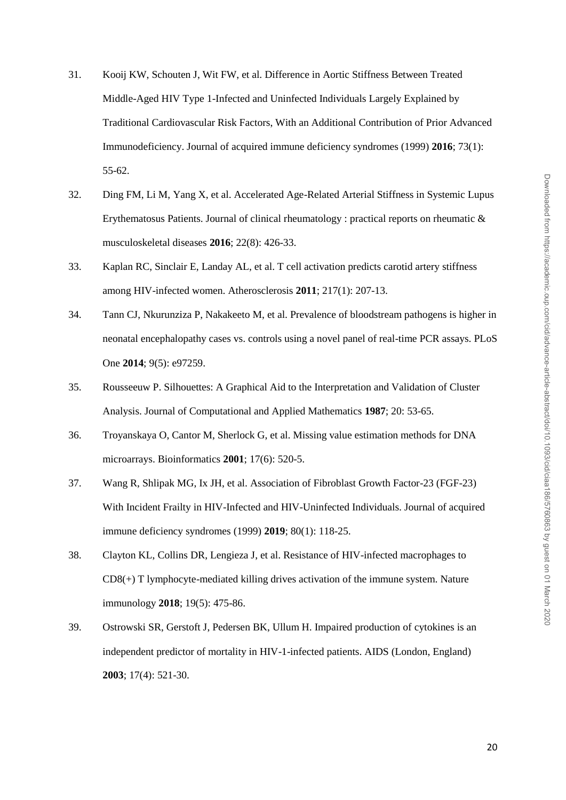- 31. Kooij KW, Schouten J, Wit FW, et al. Difference in Aortic Stiffness Between Treated Middle-Aged HIV Type 1-Infected and Uninfected Individuals Largely Explained by Traditional Cardiovascular Risk Factors, With an Additional Contribution of Prior Advanced Immunodeficiency. Journal of acquired immune deficiency syndromes (1999) **2016**; 73(1): 55-62.
- 32. Ding FM, Li M, Yang X, et al. Accelerated Age-Related Arterial Stiffness in Systemic Lupus Erythematosus Patients. Journal of clinical rheumatology : practical reports on rheumatic & musculoskeletal diseases **2016**; 22(8): 426-33.
- 33. Kaplan RC, Sinclair E, Landay AL, et al. T cell activation predicts carotid artery stiffness among HIV-infected women. Atherosclerosis **2011**; 217(1): 207-13.
- <span id="page-19-0"></span>34. Tann CJ, Nkurunziza P, Nakakeeto M, et al. Prevalence of bloodstream pathogens is higher in neonatal encephalopathy cases vs. controls using a novel panel of real-time PCR assays. PLoS One **2014**; 9(5): e97259.
- <span id="page-19-1"></span>35. Rousseeuw P. Silhouettes: A Graphical Aid to the Interpretation and Validation of Cluster Analysis. Journal of Computational and Applied Mathematics **1987**; 20: 53-65.
- <span id="page-19-2"></span>36. Troyanskaya O, Cantor M, Sherlock G, et al. Missing value estimation methods for DNA microarrays. Bioinformatics **2001**; 17(6): 520-5.
- <span id="page-19-3"></span>37. Wang R, Shlipak MG, Ix JH, et al. Association of Fibroblast Growth Factor-23 (FGF-23) With Incident Frailty in HIV-Infected and HIV-Uninfected Individuals. Journal of acquired immune deficiency syndromes (1999) **2019**; 80(1): 118-25.
- <span id="page-19-4"></span>38. Clayton KL, Collins DR, Lengieza J, et al. Resistance of HIV-infected macrophages to  $CD8(+)$  T lymphocyte-mediated killing drives activation of the immune system. Nature immunology **2018**; 19(5): 475-86.
- <span id="page-19-5"></span>39. Ostrowski SR, Gerstoft J, Pedersen BK, Ullum H. Impaired production of cytokines is an independent predictor of mortality in HIV-1-infected patients. AIDS (London, England) **2003**; 17(4): 521-30.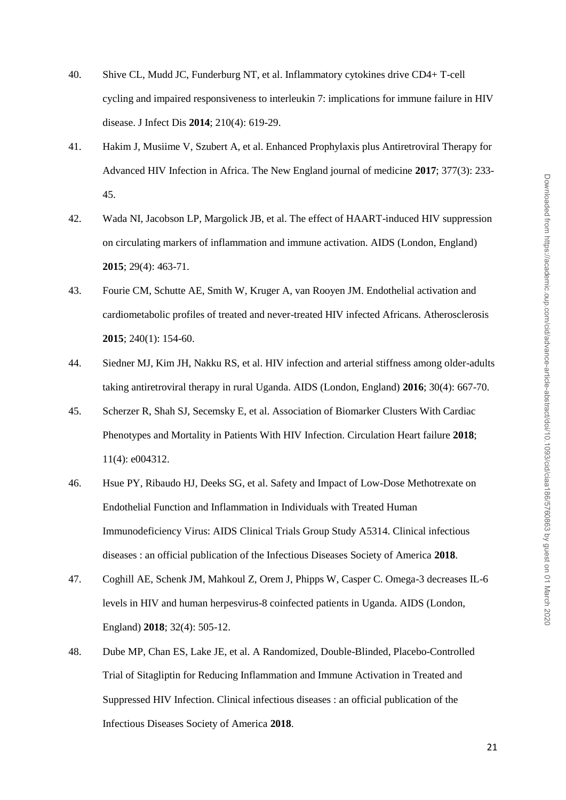- <span id="page-20-0"></span>40. Shive CL, Mudd JC, Funderburg NT, et al. Inflammatory cytokines drive CD4+ T-cell cycling and impaired responsiveness to interleukin 7: implications for immune failure in HIV disease. J Infect Dis **2014**; 210(4): 619-29.
- <span id="page-20-1"></span>41. Hakim J, Musiime V, Szubert A, et al. Enhanced Prophylaxis plus Antiretroviral Therapy for Advanced HIV Infection in Africa. The New England journal of medicine **2017**; 377(3): 233- 45.
- <span id="page-20-2"></span>42. Wada NI, Jacobson LP, Margolick JB, et al. The effect of HAART-induced HIV suppression on circulating markers of inflammation and immune activation. AIDS (London, England) **2015**; 29(4): 463-71.
- <span id="page-20-3"></span>43. Fourie CM, Schutte AE, Smith W, Kruger A, van Rooyen JM. Endothelial activation and cardiometabolic profiles of treated and never-treated HIV infected Africans. Atherosclerosis **2015**; 240(1): 154-60.
- <span id="page-20-4"></span>44. Siedner MJ, Kim JH, Nakku RS, et al. HIV infection and arterial stiffness among older-adults taking antiretroviral therapy in rural Uganda. AIDS (London, England) **2016**; 30(4): 667-70.
- <span id="page-20-5"></span>45. Scherzer R, Shah SJ, Secemsky E, et al. Association of Biomarker Clusters With Cardiac Phenotypes and Mortality in Patients With HIV Infection. Circulation Heart failure **2018**; 11(4): e004312.
- <span id="page-20-6"></span>46. Hsue PY, Ribaudo HJ, Deeks SG, et al. Safety and Impact of Low-Dose Methotrexate on Endothelial Function and Inflammation in Individuals with Treated Human Immunodeficiency Virus: AIDS Clinical Trials Group Study A5314. Clinical infectious diseases : an official publication of the Infectious Diseases Society of America **2018**.
- 47. Coghill AE, Schenk JM, Mahkoul Z, Orem J, Phipps W, Casper C. Omega-3 decreases IL-6 levels in HIV and human herpesvirus-8 coinfected patients in Uganda. AIDS (London, England) **2018**; 32(4): 505-12.
- 48. Dube MP, Chan ES, Lake JE, et al. A Randomized, Double-Blinded, Placebo-Controlled Trial of Sitagliptin for Reducing Inflammation and Immune Activation in Treated and Suppressed HIV Infection. Clinical infectious diseases : an official publication of the Infectious Diseases Society of America **2018**.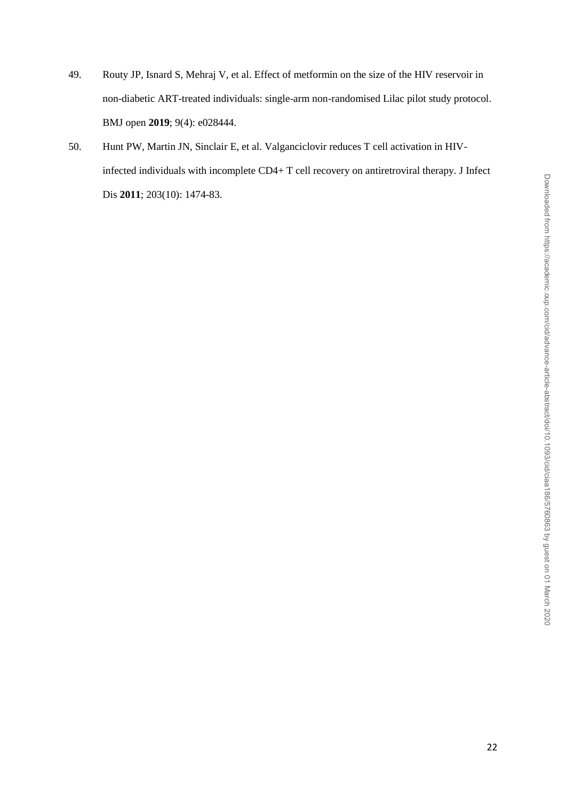- 49. Routy JP, Isnard S, Mehraj V, et al. Effect of metformin on the size of the HIV reservoir in non-diabetic ART-treated individuals: single-arm non-randomised Lilac pilot study protocol. BMJ open **2019**; 9(4): e028444.
- 50. Hunt PW, Martin JN, Sinclair E, et al. Valganciclovir reduces T cell activation in HIVinfected individuals with incomplete CD4+ T cell recovery on antiretroviral therapy. J Infect Dis **2011**; 203(10): 1474-83.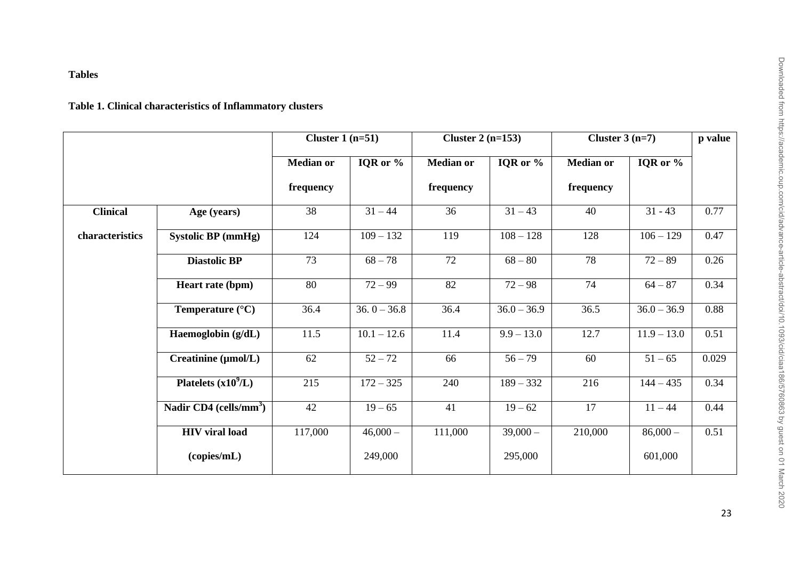# **Tables**

# **Table 1. Clinical characteristics of Inflammatory clusters**

|                 |                                    | Cluster $1(n=51)$ |               | Cluster $2(n=153)$ |               | Cluster $3(n=7)$ |               | p value |
|-----------------|------------------------------------|-------------------|---------------|--------------------|---------------|------------------|---------------|---------|
|                 |                                    | <b>Median or</b>  | IQR or $\%$   | <b>Median or</b>   | IQR or $\%$   | <b>Median or</b> | IQR or $\%$   |         |
|                 |                                    | frequency         |               | frequency          |               | frequency        |               |         |
| <b>Clinical</b> | Age (years)                        | 38                | $31 - 44$     | 36                 | $31 - 43$     | 40               | $31 - 43$     | 0.77    |
| characteristics | <b>Systolic BP</b> (mmHg)          | 124               | $109 - 132$   | 119                | $108 - 128$   | 128              | $106 - 129$   | 0.47    |
|                 | <b>Diastolic BP</b>                | 73                | $68 - 78$     | 72                 | $68 - 80$     | 78               | $72 - 89$     | 0.26    |
|                 | Heart rate (bpm)                   | 80                | $72 - 99$     | 82                 | $72 - 98$     | 74               | $64 - 87$     | 0.34    |
|                 | <b>Temperature</b> $(^{\circ}C)$   | 36.4              | $36.0 - 36.8$ | 36.4               | $36.0 - 36.9$ | 36.5             | $36.0 - 36.9$ | 0.88    |
|                 | Haemoglobin $(g/dL)$               | 11.5              | $10.1 - 12.6$ | 11.4               | $9.9 - 13.0$  | 12.7             | $11.9 - 13.0$ | 0.51    |
|                 | Creatinine (µmol/L)                | 62                | $52 - 72$     | 66                 | $56 - 79$     | 60               | $51 - 65$     | 0.029   |
|                 | Platelets $(x10^9/L)$              | 215               | $172 - 325$   | 240                | $189 - 332$   | 216              | $144 - 435$   | 0.34    |
|                 | Nadir CD4 (cells/mm <sup>3</sup> ) | 42                | $19 - 65$     | 41                 | $19 - 62$     | 17               | $11 - 44$     | 0.44    |
|                 | <b>HIV</b> viral load              | 117,000           | $46,000 -$    | 111,000            | $39,000 -$    | 210,000          | $86,000 -$    | 0.51    |
|                 | (copies/mL)                        |                   | 249,000       |                    | 295,000       |                  | 601,000       |         |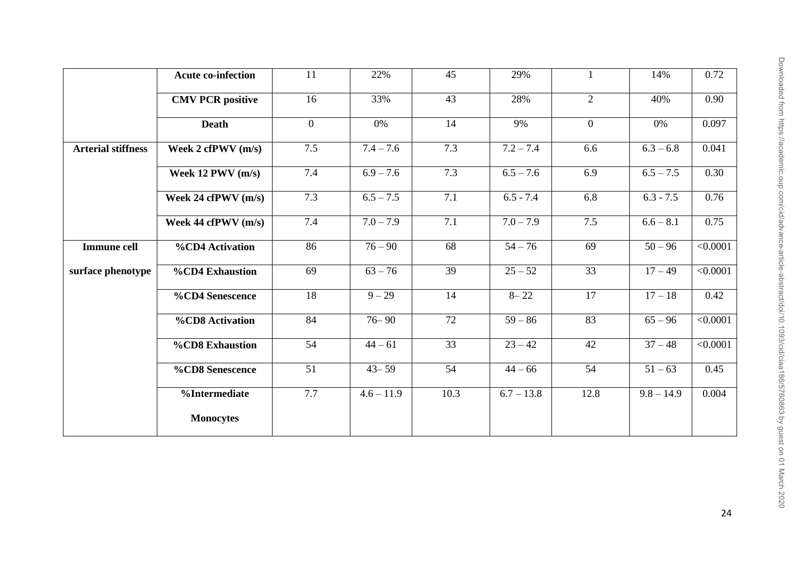|                           | <b>Acute co-infection</b> | 11             | 22%          | 45   | 29%          | $\mathbf{1}$   | 14%          | 0.72            |
|---------------------------|---------------------------|----------------|--------------|------|--------------|----------------|--------------|-----------------|
|                           | <b>CMV PCR positive</b>   | 16             | 33%          | 43   | 28%          | $\overline{2}$ | 40%          | 0.90            |
|                           | <b>Death</b>              | $\overline{0}$ | 0%           | 14   | 9%           | $\overline{0}$ | 0%           | 0.097           |
| <b>Arterial stiffness</b> | Week 2 cfPWV $(m/s)$      | 7.5            | $7.4 - 7.6$  | 7.3  | $7.2 - 7.4$  | 6.6            | $6.3 - 6.8$  | 0.041           |
|                           | Week 12 PWV $(m/s)$       | 7.4            | $6.9 - 7.6$  | 7.3  | $6.5 - 7.6$  | 6.9            | $6.5 - 7.5$  | 0.30            |
|                           | Week 24 cfPWV $(m/s)$     | 7.3            | $6.5 - 7.5$  | 7.1  | $6.5 - 7.4$  | 6.8            | $6.3 - 7.5$  | 0.76            |
|                           | Week 44 cfPWV $(m/s)$     | 7.4            | $7.0 - 7.9$  | 7.1  | $7.0 - 7.9$  | 7.5            | $6.6 - 8.1$  | 0.75            |
| <b>Immune cell</b>        | <b>%CD4 Activation</b>    | 86             | $76 - 90$    | 68   | $54 - 76$    | 69             | $50 - 96$    | $\sqrt{0.0001}$ |
| surface phenotype         | <b>%CD4 Exhaustion</b>    | 69             | $63 - 76$    | 39   | $25 - 52$    | 33             | $17 - 49$    | < 0.0001        |
|                           | <b>%CD4 Senescence</b>    | 18             | $9 - 29$     | 14   | $8 - 22$     | 17             | $17 - 18$    | 0.42            |
|                           | <b>%CD8</b> Activation    | 84             | $76 - 90$    | 72   | $59 - 86$    | 83             | $65 - 96$    | $\sqrt{0.0001}$ |
|                           | <b>%CD8</b> Exhaustion    | 54             | $44 - 61$    | 33   | $23 - 42$    | 42             | $37 - 48$    | < 0.0001        |
|                           | <b>%CD8 Senescence</b>    | 51             | $43 - 59$    | 54   | $44 - 66$    | 54             | $51 - 63$    | 0.45            |
|                           | %Intermediate             | 7.7            | $4.6 - 11.9$ | 10.3 | $6.7 - 13.8$ | 12.8           | $9.8 - 14.9$ | 0.004           |
|                           | <b>Monocytes</b>          |                |              |      |              |                |              |                 |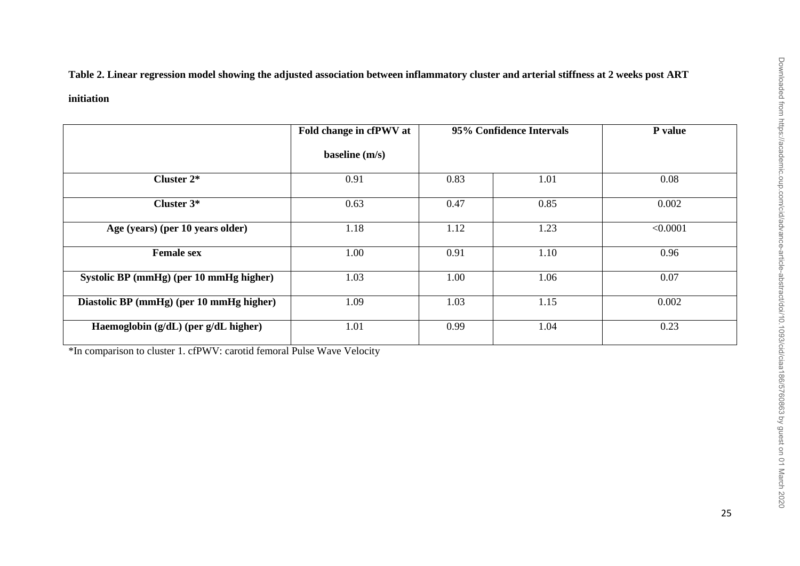**Table 2. Linear regression model showing the adjusted association between inflammatory cluster and arterial stiffness at 2 weeks post ART** 

# **initiation**

|                                          | Fold change in cfPWV at | 95% Confidence Intervals |      | P value  |  |
|------------------------------------------|-------------------------|--------------------------|------|----------|--|
|                                          | baseline $(m/s)$        |                          |      |          |  |
| Cluster $2^*$                            | 0.91                    | 0.83                     | 1.01 | 0.08     |  |
| Cluster $3*$                             | 0.63                    | 0.47                     | 0.85 | 0.002    |  |
| Age (years) (per 10 years older)         | 1.18                    | 1.12                     | 1.23 | < 0.0001 |  |
| <b>Female sex</b>                        | 1.00                    | 0.91                     | 1.10 | 0.96     |  |
| Systolic BP (mmHg) (per 10 mmHg higher)  | 1.03                    | 1.00                     | 1.06 | 0.07     |  |
| Diastolic BP (mmHg) (per 10 mmHg higher) | 1.09                    | 1.03                     | 1.15 | 0.002    |  |
| Haemoglobin $(g/dL)$ (per $g/dL$ higher) | 1.01                    | 0.99                     | 1.04 | 0.23     |  |

\*In comparison to cluster 1. cfPWV: carotid femoral Pulse Wave Velocity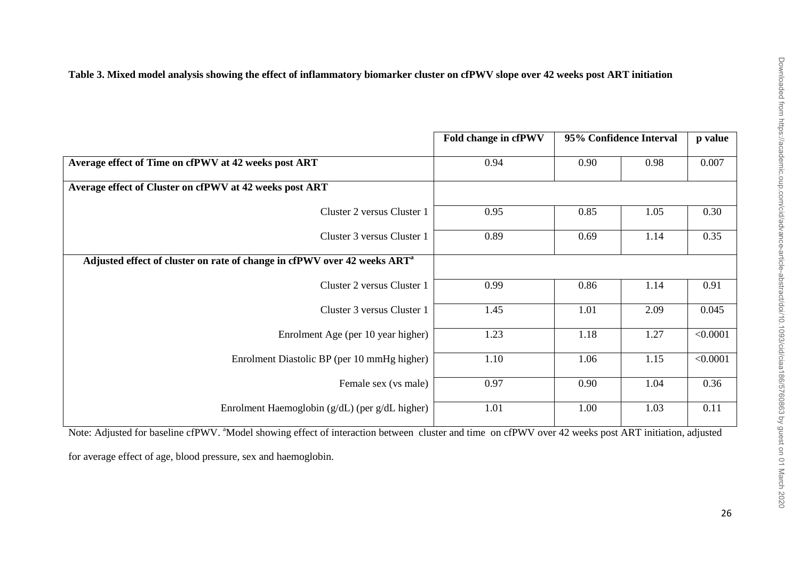**Table 3. Mixed model analysis showing the effect of inflammatory biomarker cluster on cfPWV slope over 42 weeks post ART initiation**

|                                                                                      | Fold change in cfPWV | 95% Confidence Interval |      | p value  |
|--------------------------------------------------------------------------------------|----------------------|-------------------------|------|----------|
| Average effect of Time on cfPWV at 42 weeks post ART                                 | 0.94                 | 0.90                    | 0.98 | 0.007    |
| Average effect of Cluster on cfPWV at 42 weeks post ART                              |                      |                         |      |          |
| Cluster 2 versus Cluster 1                                                           | 0.95                 | 0.85                    | 1.05 | 0.30     |
| Cluster 3 versus Cluster 1                                                           | 0.89                 | 0.69                    | 1.14 | 0.35     |
| Adjusted effect of cluster on rate of change in cfPWV over 42 weeks ART <sup>a</sup> |                      |                         |      |          |
| Cluster 2 versus Cluster 1                                                           | 0.99                 | 0.86                    | 1.14 | 0.91     |
| Cluster 3 versus Cluster 1                                                           | 1.45                 | 1.01                    | 2.09 | 0.045    |
| Enrolment Age (per 10 year higher)                                                   | 1.23                 | 1.18                    | 1.27 | < 0.0001 |
| Enrolment Diastolic BP (per 10 mmHg higher)                                          | 1.10                 | 1.06                    | 1.15 | < 0.0001 |
| Female sex (vs male)                                                                 | 0.97                 | 0.90                    | 1.04 | 0.36     |
| Enrolment Haemoglobin (g/dL) (per g/dL higher)                                       | 1.01                 | 1.00                    | 1.03 | 0.11     |

Note: Adjusted for baseline cfPWV. <sup>a</sup>Model showing effect of interaction between cluster and time on cfPWV over 42 weeks post ART initiation, adjusted for average effect of age, blood pressure, sex and haemoglobin.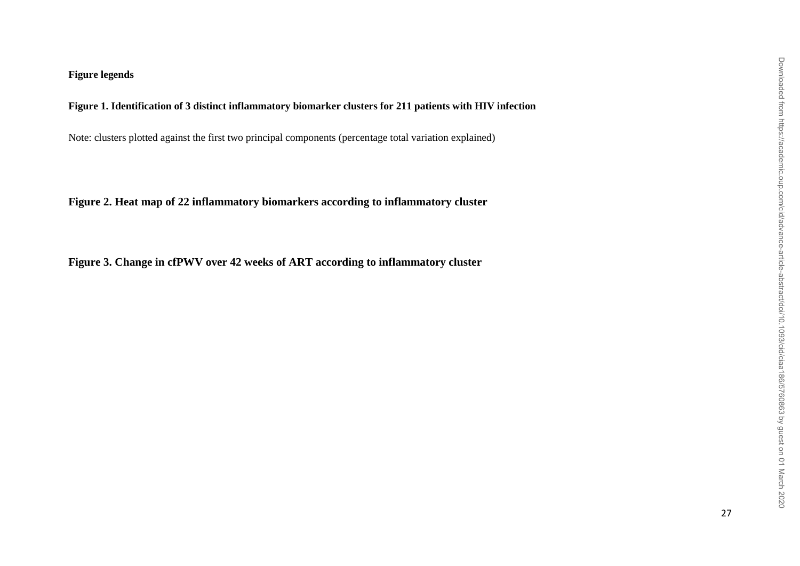# **Figure legends**

**Figure 1. Identification of 3 distinct inflammatory biomarker clusters for 211 patients with HIV infection**

Note: clusters plotted against the first two principal components (percentage total variation explained)

**Figure 2. Heat map of 22 inflammatory biomarkers according to inflammatory cluster**

**Figure 3. Change in cfPWV over 42 weeks of ART according to inflammatory cluster**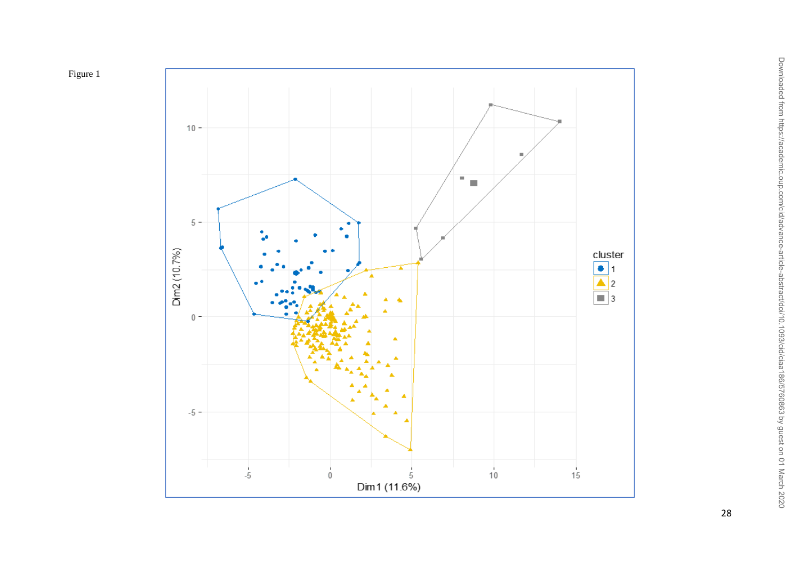

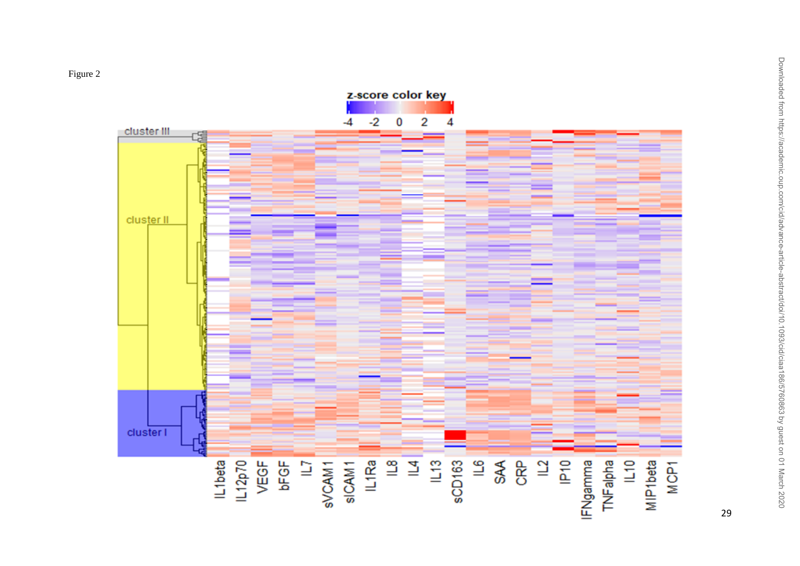

## Figure 2